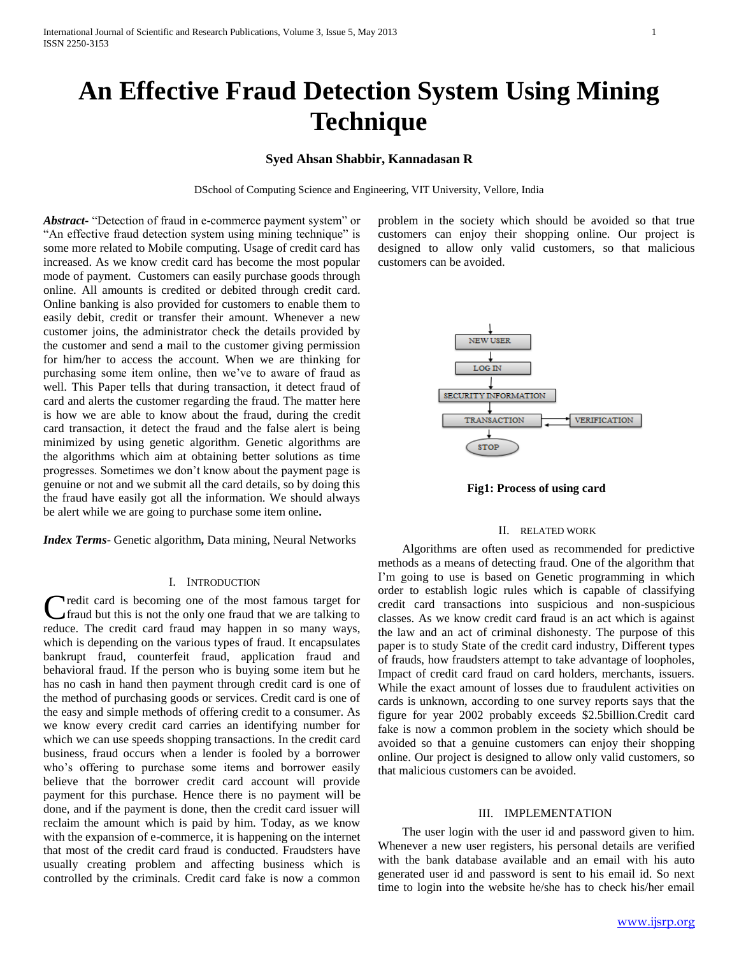# **An Effective Fraud Detection System Using Mining Technique**

# **Syed Ahsan Shabbir, Kannadasan R**

DSchool of Computing Science and Engineering, VIT University, Vellore, India

*Abstract***-** "Detection of fraud in e-commerce payment system" or "An effective fraud detection system using mining technique" is some more related to Mobile computing. Usage of credit card has increased. As we know credit card has become the most popular mode of payment. Customers can easily purchase goods through online. All amounts is credited or debited through credit card. Online banking is also provided for customers to enable them to easily debit, credit or transfer their amount. Whenever a new customer joins, the administrator check the details provided by the customer and send a mail to the customer giving permission for him/her to access the account. When we are thinking for purchasing some item online, then we've to aware of fraud as well. This Paper tells that during transaction, it detect fraud of card and alerts the customer regarding the fraud. The matter here is how we are able to know about the fraud, during the credit card transaction, it detect the fraud and the false alert is being minimized by using genetic algorithm. Genetic algorithms are the algorithms which aim at obtaining better solutions as time progresses. Sometimes we don't know about the payment page is genuine or not and we submit all the card details, so by doing this the fraud have easily got all the information. We should always be alert while we are going to purchase some item online**.**

*Index Terms*- Genetic algorithm**,** Data mining, Neural Networks

#### I. INTRODUCTION

**Tredit card is becoming one of the most famous target for** Credit card is becoming one of the most famous target for fraud but this is not the only one fraud that we are talking to reduce. The credit card fraud may happen in so many ways, which is depending on the various types of fraud. It encapsulates bankrupt fraud, counterfeit fraud, application fraud and behavioral fraud. If the person who is buying some item but he has no cash in hand then payment through credit card is one of the method of purchasing goods or services. Credit card is one of the easy and simple methods of offering credit to a consumer. As we know every credit card carries an identifying number for which we can use speeds shopping transactions. In the credit card business, fraud occurs when a lender is fooled by a borrower who's offering to purchase some items and borrower easily believe that the borrower credit card account will provide payment for this purchase. Hence there is no payment will be done, and if the payment is done, then the credit card issuer will reclaim the amount which is paid by him. Today, as we know with the expansion of e-commerce, it is happening on the internet that most of the credit card fraud is conducted. Fraudsters have usually creating problem and affecting business which is controlled by the criminals. Credit card fake is now a common

problem in the society which should be avoided so that true customers can enjoy their shopping online. Our project is designed to allow only valid customers, so that malicious customers can be avoided.



**Fig1: Process of using card**

#### II. RELATED WORK

 Algorithms are often used as recommended for predictive methods as a means of detecting fraud. One of the algorithm that I'm going to use is based on Genetic programming in which order to establish logic rules which is capable of classifying credit card transactions into suspicious and non-suspicious classes. As we know credit card fraud is an act which is against the law and an act of criminal dishonesty. The purpose of this paper is to study State of the credit card industry, Different types of frauds, how fraudsters attempt to take advantage of loopholes, Impact of credit card fraud on card holders, merchants, issuers. While the exact amount of losses due to fraudulent activities on cards is unknown, according to one survey reports says that the figure for year 2002 probably exceeds \$2.5billion.Credit card fake is now a common problem in the society which should be avoided so that a genuine customers can enjoy their shopping online. Our project is designed to allow only valid customers, so that malicious customers can be avoided.

#### III. IMPLEMENTATION

 The user login with the user id and password given to him. Whenever a new user registers, his personal details are verified with the bank database available and an email with his auto generated user id and password is sent to his email id. So next time to login into the website he/she has to check his/her email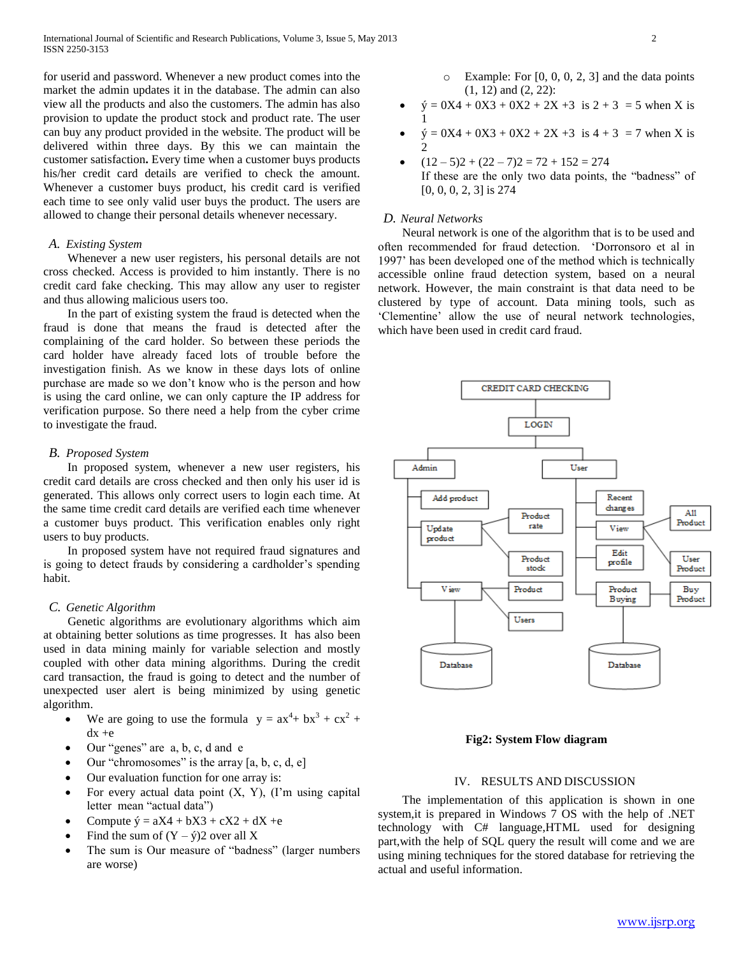for userid and password. Whenever a new product comes into the market the admin updates it in the database. The admin can also view all the products and also the customers. The admin has also provision to update the product stock and product rate. The user can buy any product provided in the website. The product will be delivered within three days. By this we can maintain the customer satisfaction**.** Every time when a customer buys products his/her credit card details are verified to check the amount. Whenever a customer buys product, his credit card is verified each time to see only valid user buys the product. The users are allowed to change their personal details whenever necessary.

#### *A. Existing System*

 Whenever a new user registers, his personal details are not cross checked. Access is provided to him instantly. There is no credit card fake checking. This may allow any user to register and thus allowing malicious users too.

 In the part of existing system the fraud is detected when the fraud is done that means the fraud is detected after the complaining of the card holder. So between these periods the card holder have already faced lots of trouble before the investigation finish. As we know in these days lots of online purchase are made so we don't know who is the person and how is using the card online, we can only capture the IP address for verification purpose. So there need a help from the cyber crime to investigate the fraud.

#### *B. Proposed System*

 In proposed system, whenever a new user registers, his credit card details are cross checked and then only his user id is generated. This allows only correct users to login each time. At the same time credit card details are verified each time whenever a customer buys product. This verification enables only right users to buy products.

 In proposed system have not required fraud signatures and is going to detect frauds by considering a cardholder's spending habit.

#### *C. Genetic Algorithm*

 Genetic algorithms are evolutionary algorithms which aim at obtaining better solutions as time progresses. It has also been used in data mining mainly for variable selection and mostly coupled with other data mining algorithms. During the credit card transaction, the fraud is going to detect and the number of unexpected user alert is being minimized by using genetic algorithm.

- We are going to use the formula  $y = ax^4 + bx^3 + cx^2 +$  $dx +e$
- Our "genes" are a, b, c, d and e
- Our "chromosomes" is the array [a, b, c, d, e]
- Our evaluation function for one array is:
- For every actual data point  $(X, Y)$ ,  $(1)$ <sup>m</sup> using capital letter mean "actual data")
- Compute  $\acute{y} = aX4 + bX3 + cX2 + dX + e$
- Find the sum of  $(Y \hat{y})$  over all X
- The sum is Our measure of "badness" (larger numbers are worse)
- $\circ$  Example: For [0, 0, 0, 2, 3] and the data points (1, 12) and (2, 22):
- $\acute{y} = 0X4 + 0X3 + 0X2 + 2X + 3$  is  $2 + 3 = 5$  when X is 1
- $\acute{y} = 0X4 + 0X3 + 0X2 + 2X + 3$  is  $4 + 3 = 7$  when X is 2
- $(12-5)2 + (22-7)2 = 72 + 152 = 274$ If these are the only two data points, the "badness" of [0, 0, 0, 2, 3] is 274

#### *D. Neural Networks*

 Neural network is one of the algorithm that is to be used and often recommended for fraud detection. 'Dorronsoro et al in 1997' has been developed one of the method which is technically accessible online fraud detection system, based on a neural network. However, the main constraint is that data need to be clustered by type of account. Data mining tools, such as 'Clementine' allow the use of neural network technologies, which have been used in credit card fraud.



#### **Fig2: System Flow diagram**

## IV. RESULTS AND DISCUSSION

 The implementation of this application is shown in one system,it is prepared in Windows 7 OS with the help of .NET technology with C# language,HTML used for designing part,with the help of SQL query the result will come and we are using mining techniques for the stored database for retrieving the actual and useful information.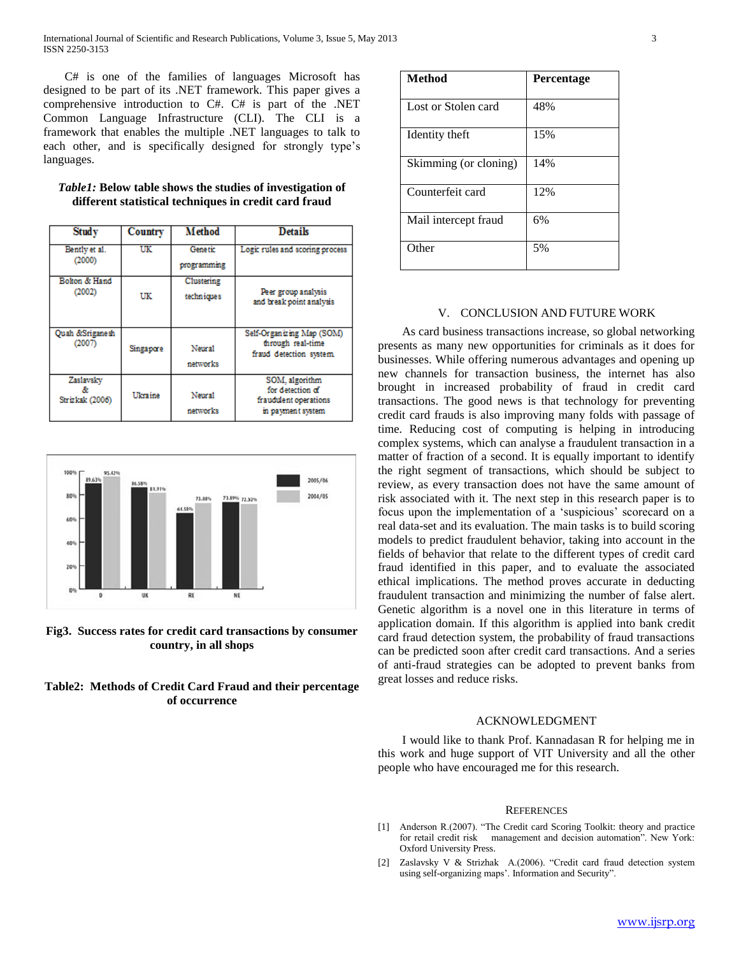C# is one of the families of languages Microsoft has designed to be part of its .NET framework. This paper gives a comprehensive introduction to C#. C# is part of the .NET Common Language Infrastructure (CLI). The CLI is a framework that enables the multiple .NET languages to talk to each other, and is specifically designed for strongly type's languages.

| <b>Study</b>                         | Country   | <b>Method</b>             | <b>Details</b>                                                                   |
|--------------------------------------|-----------|---------------------------|----------------------------------------------------------------------------------|
| Bently et al.<br>(2000)              | UK        | Genetic<br>programming    | Logic rules and scoring process                                                  |
| Bolton & Hand<br>(2002)              | UK        | Clustering<br>techn iques | Peer group analysis<br>and break point analysis                                  |
| <b>Ouah &amp;Sriganesh</b><br>(2007) | Singapore | Neural<br>networks        | Self-Organizing Map (SOM)<br>through real-time<br>fraud detection system.        |
| Zaslavsky<br>Strizkak (2006)         | Ukraine   | Neural<br>networks        | SOM, algorithm<br>for detection of<br>fraudulent operations<br>in payment system |

## *Table1:* **Below table shows the studies of investigation of different statistical techniques in credit card fraud**



**Fig3. Success rates for credit card transactions by consumer country, in all shops**

# **Table2: Methods of Credit Card Fraud and their percentage of occurrence**

| Method                | <b>Percentage</b> |
|-----------------------|-------------------|
| Lost or Stolen card   | 48%               |
| Identity theft        | 15%               |
| Skimming (or cloning) | 14%               |
| Counterfeit card      | 12%               |
| Mail intercept fraud  | 6%                |
| Other                 | 5%                |

# V. CONCLUSION AND FUTURE WORK

 As card business transactions increase, so global networking presents as many new opportunities for criminals as it does for businesses. While offering numerous advantages and opening up new channels for transaction business, the internet has also brought in increased probability of fraud in credit card transactions. The good news is that technology for preventing credit card frauds is also improving many folds with passage of time. Reducing cost of computing is helping in introducing complex systems, which can analyse a fraudulent transaction in a matter of fraction of a second. It is equally important to identify the right segment of transactions, which should be subject to review, as every transaction does not have the same amount of risk associated with it. The next step in this research paper is to focus upon the implementation of a 'suspicious' scorecard on a real data-set and its evaluation. The main tasks is to build scoring models to predict fraudulent behavior, taking into account in the fields of behavior that relate to the different types of credit card fraud identified in this paper, and to evaluate the associated ethical implications. The method proves accurate in deducting fraudulent transaction and minimizing the number of false alert. Genetic algorithm is a novel one in this literature in terms of application domain. If this algorithm is applied into bank credit card fraud detection system, the probability of fraud transactions can be predicted soon after credit card transactions. And a series of anti-fraud strategies can be adopted to prevent banks from great losses and reduce risks.

#### ACKNOWLEDGMENT

 I would like to thank Prof. Kannadasan R for helping me in this work and huge support of VIT University and all the other people who have encouraged me for this research.

#### **REFERENCES**

- [1] Anderson R.(2007). "The Credit card Scoring Toolkit: theory and practice for retail credit risk management and decision automation". New York: Oxford University Press.
- [2] Zaslavsky V & Strizhak A.(2006). "Credit card fraud detection system using self-organizing maps'. Information and Security".